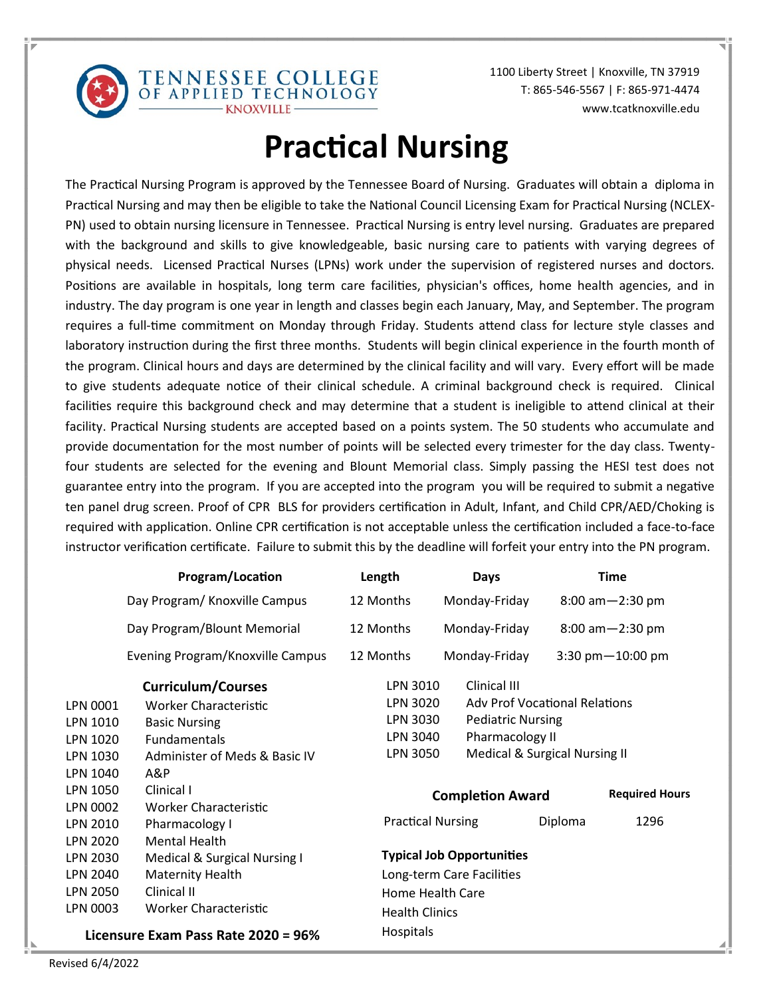

1100 Liberty Street | Knoxville, TN 37919 T: 865-546-5567 | F: 865-971-4474 www.tcatknoxville.edu

# **Practical Nursing**

TENNESSEE COLLEGE<br>OF APPLIED TECHNOLOGY

The Practical Nursing Program is approved by the Tennessee Board of Nursing. Graduates will obtain a diploma in Practical Nursing and may then be eligible to take the National Council Licensing Exam for Practical Nursing (NCLEX-PN) used to obtain nursing licensure in Tennessee. Practical Nursing is entry level nursing. Graduates are prepared with the background and skills to give knowledgeable, basic nursing care to patients with varying degrees of physical needs. Licensed Practical Nurses (LPNs) work under the supervision of registered nurses and doctors. Positions are available in hospitals, long term care facilities, physician's offices, home health agencies, and in industry. The day program is one year in length and classes begin each January, May, and September. The program requires a full-time commitment on Monday through Friday. Students attend class for lecture style classes and laboratory instruction during the first three months. Students will begin clinical experience in the fourth month of the program. Clinical hours and days are determined by the clinical facility and will vary. Every effort will be made to give students adequate notice of their clinical schedule. A criminal background check is required. Clinical facilities require this background check and may determine that a student is ineligible to attend clinical at their facility. Practical Nursing students are accepted based on a points system. The 50 students who accumulate and provide documentation for the most number of points will be selected every trimester for the day class. Twentyfour students are selected for the evening and Blount Memorial class. Simply passing the HESI test does not guarantee entry into the program. If you are accepted into the program you will be required to submit a negative ten panel drug screen. Proof of CPR BLS for providers certification in Adult, Infant, and Child CPR/AED/Choking is required with application. Online CPR certification is not acceptable unless the certification included a face-to-face instructor verification certificate. Failure to submit this by the deadline will forfeit your entry into the PN program.

|                                     | Program/Location                 | Length                           | <b>Days</b>              | <b>Time</b>                          |
|-------------------------------------|----------------------------------|----------------------------------|--------------------------|--------------------------------------|
|                                     | Day Program/ Knoxville Campus    | 12 Months                        | Monday-Friday            | $8:00$ am $-2:30$ pm                 |
|                                     | Day Program/Blount Memorial      | 12 Months                        | Monday-Friday            | $8:00$ am $-2:30$ pm                 |
|                                     | Evening Program/Knoxville Campus | 12 Months                        | Monday-Friday            | 3:30 $pm-10:00$ pm                   |
|                                     | <b>Curriculum/Courses</b>        | LPN 3010                         | Clinical III             |                                      |
| LPN 0001                            | Worker Characteristic            | LPN 3020                         |                          | <b>Adv Prof Vocational Relations</b> |
| LPN 1010                            | <b>Basic Nursing</b>             | LPN 3030                         | <b>Pediatric Nursing</b> |                                      |
| LPN 1020                            | <b>Fundamentals</b>              | LPN 3040                         | Pharmacology II          |                                      |
| LPN 1030                            | Administer of Meds & Basic IV    | <b>LPN 3050</b>                  |                          | Medical & Surgical Nursing II        |
| LPN 1040                            | A&P                              |                                  |                          |                                      |
| LPN 1050                            | Clinical I                       |                                  | <b>Completion Award</b>  | <b>Required Hours</b>                |
| LPN 0002                            | Worker Characteristic            |                                  |                          |                                      |
| LPN 2010                            | Pharmacology I                   | <b>Practical Nursing</b>         |                          | Diploma<br>1296                      |
| <b>LPN 2020</b>                     | <b>Mental Health</b>             |                                  |                          |                                      |
| LPN 2030                            | Medical & Surgical Nursing I     | <b>Typical Job Opportunities</b> |                          |                                      |
| <b>LPN 2040</b>                     | Maternity Health                 | Long-term Care Facilities        |                          |                                      |
| <b>LPN 2050</b>                     | Clinical II                      | Home Health Care                 |                          |                                      |
| LPN 0003                            | Worker Characteristic            | <b>Health Clinics</b>            |                          |                                      |
| Licensure Exam Pass Rate 2020 = 96% |                                  | <b>Hospitals</b>                 |                          |                                      |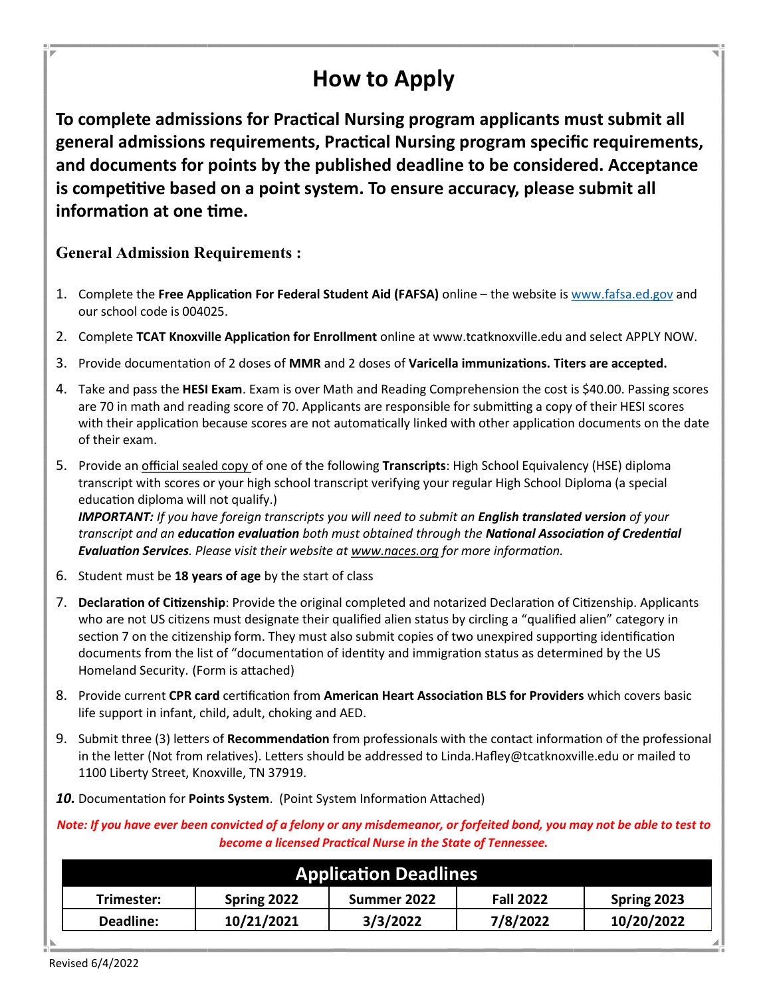# **How to Apply**

**To complete admissions for Practical Nursing program applicants must submit all general admissions requirements, Practical Nursing program specific requirements, and documents for points by the published deadline to be considered. Acceptance is competitive based on a point system. To ensure accuracy, please submit all information at one time.**

#### **General Admission Requirements :**

- 1. Complete the **Free Application For Federal Student Aid (FAFSA)** online the website is [www.fafsa.ed.gov](http://www.fafsa.ed.gov/) and our school code is 004025.
- 2. Complete **TCAT Knoxville Application for Enrollment** online at [www.tcatknoxville.edu and select APPLY NOW.](https://apply.tbr.edu/?tcat=knoxville)
- 3. Provide documentation of 2 doses of **MMR** and 2 doses of **Varicella immunizations. Titers are accepted.**
- 4. Take and pass the **HESI Exam**. Exam is over Math and Reading Comprehension the cost is \$40.00. Passing scores are 70 in math and reading score of 70. Applicants are responsible for submitting a copy of their HESI scores with their application because scores are not automatically linked with other application documents on the date of their exam.
- 5. Provide an official sealed copy of one of the following **Transcripts**: High School Equivalency (HSE) diploma transcript with scores or your high school transcript verifying your regular High School Diploma (a special education diploma will not qualify.)

*IMPORTANT: If you have foreign transcripts you will need to submit an English translated version of your transcript and an education evaluation both must obtained through the National Association of Credential Evaluation Services. Please visit their website at [www.naces.org](http://www.tcatknoxville.edu/www.naces.org) for more information.*

- 6. Student must be **18 years of age** by the start of class
- 7. **Declaration of Citizenship**: Provide the original completed and notarized Declaration of Citizenship. Applicants who are not US citizens must designate their qualified alien status by circling a "qualified alien" category in section 7 on the citizenship form. They must also submit copies of two unexpired supporting identification documents from the list of "documentation of identity and immigration status as determined by the US Homeland Security. (Form is attached)
- 8. Provide current **CPR card** certification from **American Heart Association BLS for Providers** which covers basic life support in infant, child, adult, choking and AED.
- 9. Submit three (3) letters of **Recommendation** from professionals with the contact information of the professional in the letter (Not from relatives). Letters should be addressed to Linda.Hafley@tcatknoxville.edu or mailed to 1100 Liberty Street, Knoxville, TN 37919.
- *10.* Documentation for **Points System**. (Point System Information Attached)

*Note: If you have ever been convicted of a felony or any misdemeanor, or forfeited bond, you may not be able to test to become a licensed Practical Nurse in the State of Tennessee.* 

| <b>Application Deadlines</b> |             |             |                  |             |  |  |
|------------------------------|-------------|-------------|------------------|-------------|--|--|
| Trimester:                   | Spring 2022 | Summer 2022 | <b>Fall 2022</b> | Spring 2023 |  |  |
| Deadline:                    | 10/21/2021  | 3/3/2022    | 7/8/2022         | 10/20/2022  |  |  |